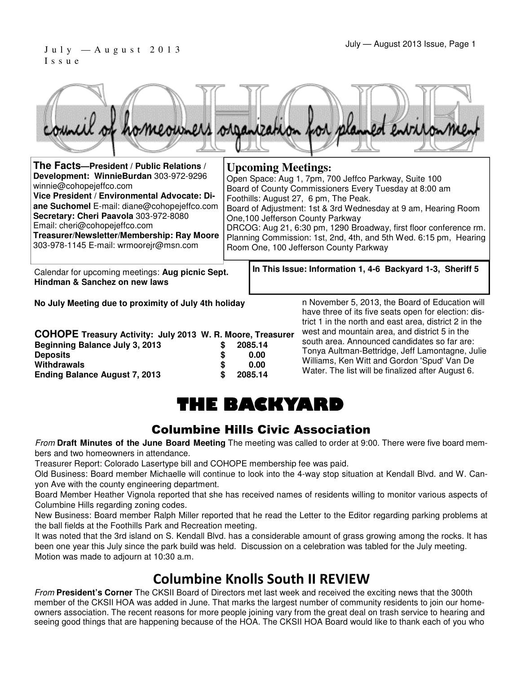#### July — August 2013 Issue, Page 1 J u l y — A u g u s t 2 0 1 3 I s s u e

|  |  |  | council of homeowners organization for planned entrironment |
|--|--|--|-------------------------------------------------------------|
|  |  |  |                                                             |

| The Facts-President / Public Relations /<br>Development: WinnieBurdan 303-972-9296<br>winnie@cohopejeffco.com<br>Vice President / Environmental Advocate: Di-<br>ane Suchomel E-mail: diane@cohopejeffco.com<br>Secretary: Cheri Paavola 303-972-8080<br>Email: cheri@cohopejeffco.com<br>Treasurer/Newsletter/Membership: Ray Moore<br>303-978-1145 E-mail: wrmoorejr@msn.com | <b>Upcoming Meetings:</b><br>Open Space: Aug 1, 7pm, 700 Jeffco Parkway, Suite 100<br>Board of County Commissioners Every Tuesday at 8:00 am<br>Foothills: August 27, 6 pm, The Peak.<br>Board of Adjustment: 1st & 3rd Wednesday at 9 am, Hearing Room<br>One, 100 Jefferson County Parkway<br>DRCOG: Aug 21, 6:30 pm, 1290 Broadway, first floor conference rm.<br>Planning Commission: 1st, 2nd, 4th, and 5th Wed. 6:15 pm, Hearing<br>Room One, 100 Jefferson County Parkway |
|--------------------------------------------------------------------------------------------------------------------------------------------------------------------------------------------------------------------------------------------------------------------------------------------------------------------------------------------------------------------------------|----------------------------------------------------------------------------------------------------------------------------------------------------------------------------------------------------------------------------------------------------------------------------------------------------------------------------------------------------------------------------------------------------------------------------------------------------------------------------------|
| Calendar for upcoming meetings: Aug picnic Sept.<br>Hindman & Sanchez on new laws                                                                                                                                                                                                                                                                                              | In This Issue: Information 1, 4-6 Backyard 1-3, Sheriff 5                                                                                                                                                                                                                                                                                                                                                                                                                        |

**No July Meeting due to proximity of July 4th holiday**

**COHOPE Treasury Activity: July 2013 W. R. Moore, Treasurer Beginning Balance July 3, 2013 \$ 2085.14 Deposits \$ 0.00** 

**Withdrawals \$ 0.00** 

**Ending Balance August 7, 2013** 

n November 5, 2013, the Board of Education will have three of its five seats open for election: district 1 in the north and east area, district 2 in the west and mountain area, and district 5 in the south area. Announced candidates so far are: Tonya Aultman-Bettridge, Jeff Lamontagne, Julie

Williams, Ken Witt and Gordon 'Spud' Van De Water. The list will be finalized after August 6.

# THE BACKYARD

#### Columbine Hills Civic Association

From **Draft Minutes of the June Board Meeting** The meeting was called to order at 9:00. There were five board members and two homeowners in attendance.

Treasurer Report: Colorado Lasertype bill and COHOPE membership fee was paid.

Old Business: Board member Michaelle will continue to look into the 4-way stop situation at Kendall Blvd. and W. Canyon Ave with the county engineering department.

Board Member Heather Vignola reported that she has received names of residents willing to monitor various aspects of Columbine Hills regarding zoning codes.

New Business: Board member Ralph Miller reported that he read the Letter to the Editor regarding parking problems at the ball fields at the Foothills Park and Recreation meeting.

It was noted that the 3rd island on S. Kendall Blvd. has a considerable amount of grass growing among the rocks. It has been one year this July since the park build was held. Discussion on a celebration was tabled for the July meeting. Motion was made to adjourn at 10:30 a.m.

### Columbine Knolls South II REVIEW

From **President's Corner** The CKSII Board of Directors met last week and received the exciting news that the 300th member of the CKSII HOA was added in June. That marks the largest number of community residents to join our homeowners association. The recent reasons for more people joining vary from the great deal on trash service to hearing and seeing good things that are happening because of the HOA. The CKSII HOA Board would like to thank each of you who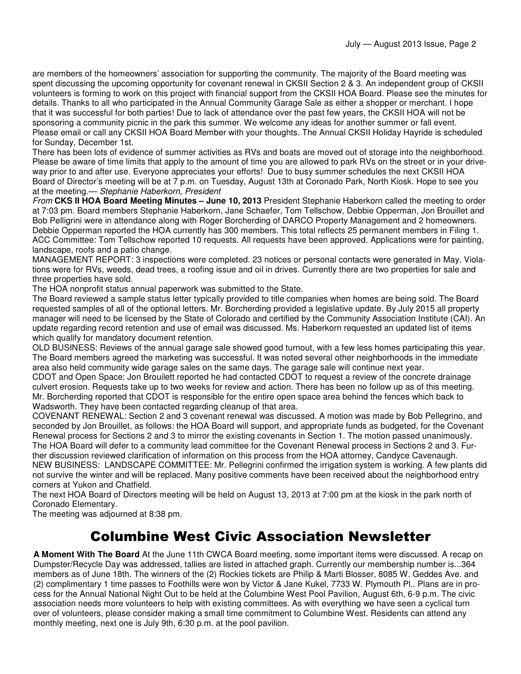are members of the homeowners' association for supporting the community. The majority of the Board meeting was spent discussing the upcoming opportunity for covenant renewal in CKSII Section 2 & 3. An independent group of CKSII volunteers is forming to work on this project with financial support from the CKSII HOA Board. Please see the minutes for details. Thanks to all who participated in the Annual Community Garage Sale as either a shopper or merchant. I hope that it was successful for both parties! Due to lack of attendance over the past few years, the CKSII HOA will not be sponsoring a community picnic in the park this summer. We welcome any ideas for another summer or fall event. Please email or call any CKSII HOA Board Member with your thoughts. The Annual CKSII Holiday Hayride is scheduled for Sunday, December 1st.

There has been lots of evidence of summer activities as RVs and boats are moved out of storage into the neighborhood. Please be aware of time limits that apply to the amount of time you are allowed to park RVs on the street or in your driveway prior to and after use. Everyone appreciates your efforts! Due to busy summer schedules the next CKSII HOA Board of Director's meeting will be at 7 p.m. on Tuesday, August 13th at Coronado Park, North Kiosk. Hope to see you at the meeting.— Stephanie Haberkorn, President

From **CKS II HOA Board Meeting Minutes – June 10, 2013** President Stephanie Haberkorn called the meeting to order at 7:03 pm. Board members Stephanie Haberkorn, Jane Schaefer, Tom Tellschow, Debbie Opperman, Jon Brouillet and Bob Pelligrini were in attendance along with Roger Borcherding of DARCO Property Management and 2 homeowners. Debbie Opperman reported the HOA currently has 300 members. This total reflects 25 permanent members in Filing 1. ACC Committee: Tom Tellschow reported 10 requests. All requests have been approved. Applications were for painting, landscape, roofs and a patio change.

MANAGEMENT REPORT: 3 inspections were completed. 23 notices or personal contacts were generated in May. Violations were for RVs, weeds, dead trees, a roofing issue and oil in drives. Currently there are two properties for sale and three properties have sold.

The HOA nonprofit status annual paperwork was submitted to the State.

The Board reviewed a sample status letter typically provided to title companies when homes are being sold. The Board requested samples of all of the optional letters. Mr. Borcherding provided a legislative update. By July 2015 all property manager will need to be licensed by the State of Colorado and certified by the Community Association Institute (CAI). An update regarding record retention and use of email was discussed. Ms. Haberkorn requested an updated list of items which qualify for mandatory document retention.

OLD BUSINESS: Reviews of the annual garage sale showed good turnout, with a few less homes participating this year. The Board members agreed the marketing was successful. It was noted several other neighborhoods in the immediate area also held community wide garage sales on the same days. The garage sale will continue next year.

CDOT and Open Space: Jon Brouilett reported he had contacted CDOT to request a review of the concrete drainage culvert erosion. Requests take up to two weeks for review and action. There has been no follow up as of this meeting. Mr. Borcherding reported that CDOT is responsible for the entire open space area behind the fences which back to Wadsworth. They have been contacted regarding cleanup of that area.

COVENANT RENEWAL: Section 2 and 3 covenant renewal was discussed. A motion was made by Bob Pellegrino, and seconded by Jon Brouillet, as follows: the HOA Board will support, and appropriate funds as budgeted, for the Covenant Renewal process for Sections 2 and 3 to mirror the existing covenants in Section 1. The motion passed unanimously. The HOA Board will defer to a community lead committee for the Covenant Renewal process in Sections 2 and 3. Further discussion reviewed clarification of information on this process from the HOA attorney, Candyce Cavenaugh. NEW BUSINESS: LANDSCAPE COMMITTEE: Mr. Pellegrini confirmed the irrigation system is working. A few plants did not survive the winter and will be replaced. Many positive comments have been received about the neighborhood entry corners at Yukon and Chatfield.

The next HOA Board of Directors meeting will be held on August 13, 2013 at 7:00 pm at the kiosk in the park north of Coronado Elementary.

The meeting was adjourned at 8:38 pm.

#### Columbine West Civic Association Newsletter

**A Moment With The Board** At the June 11th CWCA Board meeting, some important items were discussed. A recap on Dumpster/Recycle Day was addressed, tallies are listed in attached graph. Currently our membership number is...364 members as of June 18th. The winners of the (2) Rockies tickets are Philip & Marti Blosser, 8085 W. Geddes Ave. and (2) complimentary 1 time passes to Foothills were won by Victor & Jane Kukel, 7733 W. Plymouth Pl.. Plans are in process for the Annual National Night Out to be held at the Columbine West Pool Pavilion, August 6th, 6-9 p.m. The civic association needs more volunteers to help with existing committees. As with everything we have seen a cyclical turn over of volunteers, please consider making a small time commitment to Columbine West. Residents can attend any monthly meeting, next one is July 9th, 6:30 p.m. at the pool pavilion.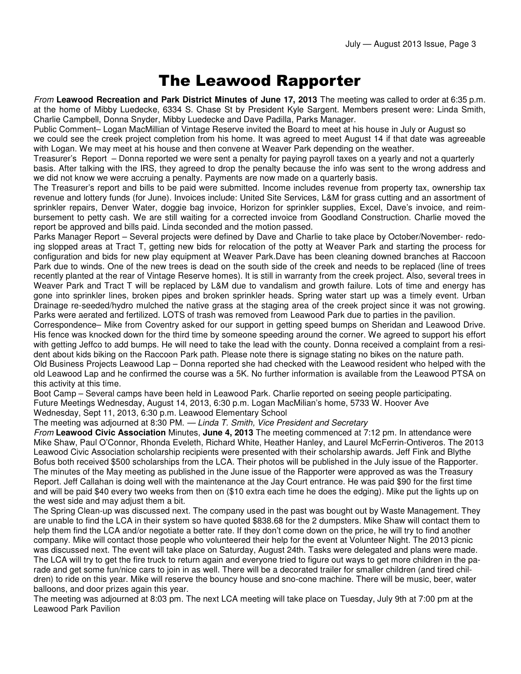## The Leawood Rapporter

From **Leawood Recreation and Park District Minutes of June 17, 2013** The meeting was called to order at 6:35 p.m. at the home of Mibby Luedecke, 6334 S. Chase St by President Kyle Sargent. Members present were: Linda Smith, Charlie Campbell, Donna Snyder, Mibby Luedecke and Dave Padilla, Parks Manager.

Public Comment– Logan MacMillian of Vintage Reserve invited the Board to meet at his house in July or August so we could see the creek project completion from his home. It was agreed to meet August 14 if that date was agreeable with Logan. We may meet at his house and then convene at Weaver Park depending on the weather.

Treasurer's Report – Donna reported we were sent a penalty for paying payroll taxes on a yearly and not a quarterly basis. After talking with the IRS, they agreed to drop the penalty because the info was sent to the wrong address and we did not know we were accruing a penalty. Payments are now made on a quarterly basis.

The Treasurer's report and bills to be paid were submitted. Income includes revenue from property tax, ownership tax revenue and lottery funds (for June). Invoices include: United Site Services, L&M for grass cutting and an assortment of sprinkler repairs, Denver Water, doggie bag invoice, Horizon for sprinkler supplies, Excel, Dave's invoice, and reimbursement to petty cash. We are still waiting for a corrected invoice from Goodland Construction. Charlie moved the report be approved and bills paid. Linda seconded and the motion passed.

Parks Manager Report – Several projects were defined by Dave and Charlie to take place by October/November- redoing slopped areas at Tract T, getting new bids for relocation of the potty at Weaver Park and starting the process for configuration and bids for new play equipment at Weaver Park.Dave has been cleaning downed branches at Raccoon Park due to winds. One of the new trees is dead on the south side of the creek and needs to be replaced (line of trees recently planted at the rear of Vintage Reserve homes). It is still in warranty from the creek project. Also, several trees in Weaver Park and Tract T will be replaced by L&M due to vandalism and growth failure. Lots of time and energy has gone into sprinkler lines, broken pipes and broken sprinkler heads. Spring water start up was a timely event. Urban Drainage re-seeded/hydro mulched the native grass at the staging area of the creek project since it was not growing. Parks were aerated and fertilized. LOTS of trash was removed from Leawood Park due to parties in the pavilion.

Correspondence– Mike from Coventry asked for our support in getting speed bumps on Sheridan and Leawood Drive. His fence was knocked down for the third time by someone speeding around the corner. We agreed to support his effort with getting Jeffco to add bumps. He will need to take the lead with the county. Donna received a complaint from a resident about kids biking on the Raccoon Park path. Please note there is signage stating no bikes on the nature path.

Old Business Projects Leawood Lap – Donna reported she had checked with the Leawood resident who helped with the old Leawood Lap and he confirmed the course was a 5K. No further information is available from the Leawood PTSA on this activity at this time.

Boot Camp – Several camps have been held in Leawood Park. Charlie reported on seeing people participating. Future Meetings Wednesday, August 14, 2013, 6:30 p.m. Logan MacMilian's home, 5733 W. Hoover Ave Wednesday, Sept 11, 2013, 6:30 p.m. Leawood Elementary School

The meeting was adjourned at 8:30 PM. - Linda T. Smith, Vice President and Secretary

From **Leawood Civic Association** Minutes, **June 4, 2013** The meeting commenced at 7:12 pm. In attendance were Mike Shaw, Paul O'Connor, Rhonda Eveleth, Richard White, Heather Hanley, and Laurel McFerrin-Ontiveros. The 2013 Leawood Civic Association scholarship recipients were presented with their scholarship awards. Jeff Fink and Blythe Bofus both received \$500 scholarships from the LCA. Their photos will be published in the July issue of the Rapporter. The minutes of the May meeting as published in the June issue of the Rapporter were approved as was the Treasury Report. Jeff Callahan is doing well with the maintenance at the Jay Court entrance. He was paid \$90 for the first time and will be paid \$40 every two weeks from then on (\$10 extra each time he does the edging). Mike put the lights up on the west side and may adjust them a bit.

The Spring Clean-up was discussed next. The company used in the past was bought out by Waste Management. They are unable to find the LCA in their system so have quoted \$838.68 for the 2 dumpsters. Mike Shaw will contact them to help them find the LCA and/or negotiate a better rate. If they don't come down on the price, he will try to find another company. Mike will contact those people who volunteered their help for the event at Volunteer Night. The 2013 picnic was discussed next. The event will take place on Saturday, August 24th. Tasks were delegated and plans were made. The LCA will try to get the fire truck to return again and everyone tried to figure out ways to get more children in the parade and get some fun/nice cars to join in as well. There will be a decorated trailer for smaller children (and tired children) to ride on this year. Mike will reserve the bouncy house and sno-cone machine. There will be music, beer, water balloons, and door prizes again this year.

The meeting was adjourned at 8:03 pm. The next LCA meeting will take place on Tuesday, July 9th at 7:00 pm at the Leawood Park Pavilion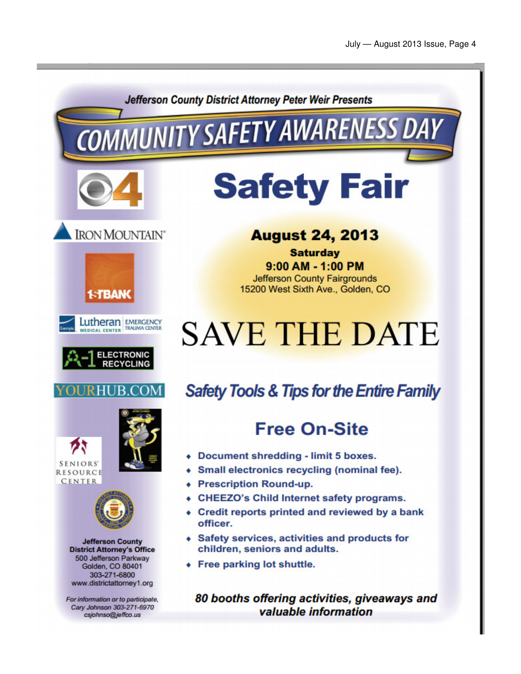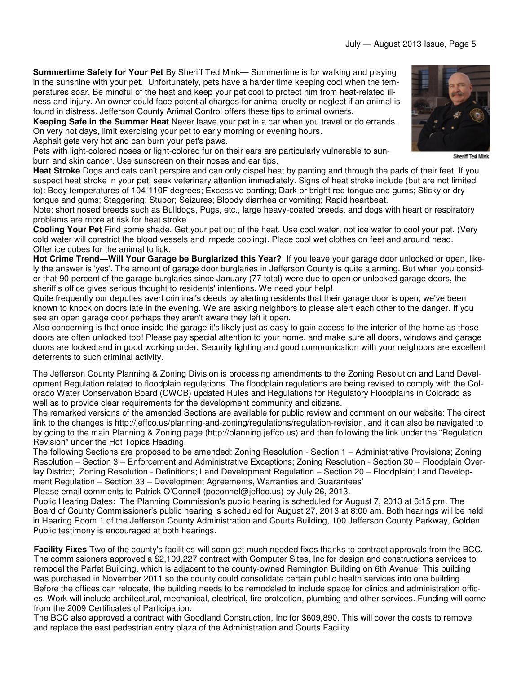**Summertime Safety for Your Pet** By Sheriff Ted Mink— Summertime is for walking and playing in the sunshine with your pet. Unfortunately, pets have a harder time keeping cool when the temperatures soar. Be mindful of the heat and keep your pet cool to protect him from heat-related illness and injury. An owner could face potential charges for animal cruelty or neglect if an animal is found in distress. Jefferson County Animal Control offers these tips to animal owners.

**Keeping Safe in the Summer Heat** Never leave your pet in a car when you travel or do errands. On very hot days, limit exercising your pet to early morning or evening hours.

Asphalt gets very hot and can burn your pet's paws.

Pets with light-colored noses or light-colored fur on their ears are particularly vulnerable to sunburn and skin cancer. Use sunscreen on their noses and ear tips.

**Heat Stroke** Dogs and cats can't perspire and can only dispel heat by panting and through the pads of their feet. If you suspect heat stroke in your pet, seek veterinary attention immediately. Signs of heat stroke include (but are not limited to): Body temperatures of 104-110F degrees; Excessive panting; Dark or bright red tongue and gums; Sticky or dry tongue and gums; Staggering; Stupor; Seizures; Bloody diarrhea or vomiting; Rapid heartbeat.

Note: short nosed breeds such as Bulldogs, Pugs, etc., large heavy-coated breeds, and dogs with heart or respiratory problems are more at risk for heat stroke.

**Cooling Your Pet** Find some shade. Get your pet out of the heat. Use cool water, not ice water to cool your pet. (Very cold water will constrict the blood vessels and impede cooling). Place cool wet clothes on feet and around head. Offer ice cubes for the animal to lick.

**Hot Crime Trend—Will Your Garage be Burglarized this Year?** If you leave your garage door unlocked or open, likely the answer is 'yes'. The amount of garage door burglaries in Jefferson County is quite alarming. But when you consider that 90 percent of the garage burglaries since January (77 total) were due to open or unlocked garage doors, the sheriff's office gives serious thought to residents' intentions. We need your help!

Quite frequently our deputies avert criminal's deeds by alerting residents that their garage door is open; we've been known to knock on doors late in the evening. We are asking neighbors to please alert each other to the danger. If you see an open garage door perhaps they aren't aware they left it open.

Also concerning is that once inside the garage it's likely just as easy to gain access to the interior of the home as those doors are often unlocked too! Please pay special attention to your home, and make sure all doors, windows and garage doors are locked and in good working order. Security lighting and good communication with your neighbors are excellent deterrents to such criminal activity.

The Jefferson County Planning & Zoning Division is processing amendments to the Zoning Resolution and Land Development Regulation related to floodplain regulations. The floodplain regulations are being revised to comply with the Colorado Water Conservation Board (CWCB) updated Rules and Regulations for Regulatory Floodplains in Colorado as well as to provide clear requirements for the development community and citizens.

The remarked versions of the amended Sections are available for public review and comment on our website: The direct link to the changes is http://jeffco.us/planning-and-zoning/regulations/regulation-revision, and it can also be navigated to by going to the main Planning & Zoning page (http://planning.jeffco.us) and then following the link under the "Regulation Revision" under the Hot Topics Heading.

The following Sections are proposed to be amended: Zoning Resolution - Section 1 – Administrative Provisions; Zoning Resolution – Section 3 – Enforcement and Administrative Exceptions; Zoning Resolution - Section 30 – Floodplain Overlay District; Zoning Resolution - Definitions; Land Development Regulation – Section 20 – Floodplain; Land Development Regulation – Section 33 – Development Agreements, Warranties and Guarantees'

Please email comments to Patrick O'Connell (poconnel@jeffco.us) by July 26, 2013.

Public Hearing Dates: The Planning Commission's public hearing is scheduled for August 7, 2013 at 6:15 pm. The Board of County Commissioner's public hearing is scheduled for August 27, 2013 at 8:00 am. Both hearings will be held in Hearing Room 1 of the Jefferson County Administration and Courts Building, 100 Jefferson County Parkway, Golden. Public testimony is encouraged at both hearings.

**Facility Fixes** Two of the county's facilities will soon get much needed fixes thanks to contract approvals from the BCC. The commissioners approved a \$2,109,227 contract with Computer Sites, Inc for design and constructions services to remodel the Parfet Building, which is adjacent to the county-owned Remington Building on 6th Avenue. This building was purchased in November 2011 so the county could consolidate certain public health services into one building. Before the offices can relocate, the building needs to be remodeled to include space for clinics and administration offices. Work will include architectural, mechanical, electrical, fire protection, plumbing and other services. Funding will come from the 2009 Certificates of Participation.

The BCC also approved a contract with Goodland Construction, Inc for \$609,890. This will cover the costs to remove and replace the east pedestrian entry plaza of the Administration and Courts Facility.

**Sheriff Ted Mink**